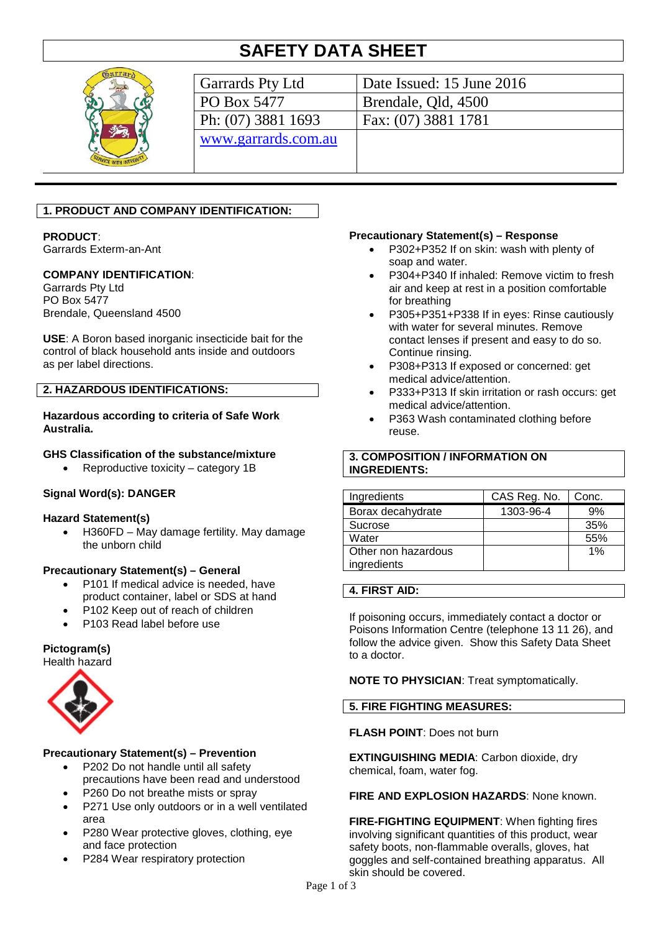# **SAFETY DATA SHEET**



| Garrards Pty Ltd    | Date Issued: 15 June 2016 |
|---------------------|---------------------------|
| PO Box 5477         | Brendale, Qld, 4500       |
| Ph: (07) 3881 1693  | Fax: (07) 3881 1781       |
| www.garrards.com.au |                           |
|                     |                           |

# **1. PRODUCT AND COMPANY IDENTIFICATION:**

## **PRODUCT**:

Garrards Exterm-an-Ant

## **COMPANY IDENTIFICATION**:

Garrards Pty Ltd PO Box 5477 Brendale, Queensland 4500

**USE**: A Boron based inorganic insecticide bait for the control of black household ants inside and outdoors as per label directions.

#### **2. HAZARDOUS IDENTIFICATIONS:**

#### **Hazardous according to criteria of Safe Work Australia.**

## **GHS Classification of the substance/mixture**

• Reproductive toxicity – category 1B

## **Signal Word(s): DANGER**

#### **Hazard Statement(s)**

• H360FD – May damage fertility. May damage the unborn child

## **Precautionary Statement(s) – General**

- P101 If medical advice is needed, have product container, label or SDS at hand
- P102 Keep out of reach of children
- P103 Read label before use

#### **Pictogram(s)**

Health hazard



## **Precautionary Statement(s) – Prevention**

- P202 Do not handle until all safety precautions have been read and understood
- P260 Do not breathe mists or spray
- P271 Use only outdoors or in a well ventilated area
- P280 Wear protective gloves, clothing, eye and face protection
- P284 Wear respiratory protection

#### **Precautionary Statement(s) – Response**

- P302+P352 If on skin: wash with plenty of soap and water.
- P304+P340 If inhaled: Remove victim to fresh air and keep at rest in a position comfortable for breathing
- P305+P351+P338 If in eyes: Rinse cautiously with water for several minutes. Remove contact lenses if present and easy to do so. Continue rinsing.
- P308+P313 If exposed or concerned: get medical advice/attention.
- P333+P313 If skin irritation or rash occurs: get medical advice/attention.
- P363 Wash contaminated clothing before reuse.

## **3. COMPOSITION / INFORMATION ON INGREDIENTS:**

| Ingredients         | CAS Reg. No. | Conc. |
|---------------------|--------------|-------|
| Borax decahydrate   | 1303-96-4    | 9%    |
| Sucrose             |              | 35%   |
| Water               |              | 55%   |
| Other non hazardous |              | 1%    |
| ingredients         |              |       |

#### **4. FIRST AID:**

If poisoning occurs, immediately contact a doctor or Poisons Information Centre (telephone 13 11 26), and follow the advice given. Show this Safety Data Sheet to a doctor.

**NOTE TO PHYSICIAN**: Treat symptomatically.

## **5. FIRE FIGHTING MEASURES:**

# **FLASH POINT**: Does not burn

**EXTINGUISHING MEDIA**: Carbon dioxide, dry chemical, foam, water fog.

#### **FIRE AND EXPLOSION HAZARDS**: None known.

**FIRE-FIGHTING EQUIPMENT**: When fighting fires involving significant quantities of this product, wear safety boots, non-flammable overalls, gloves, hat goggles and self-contained breathing apparatus. All skin should be covered.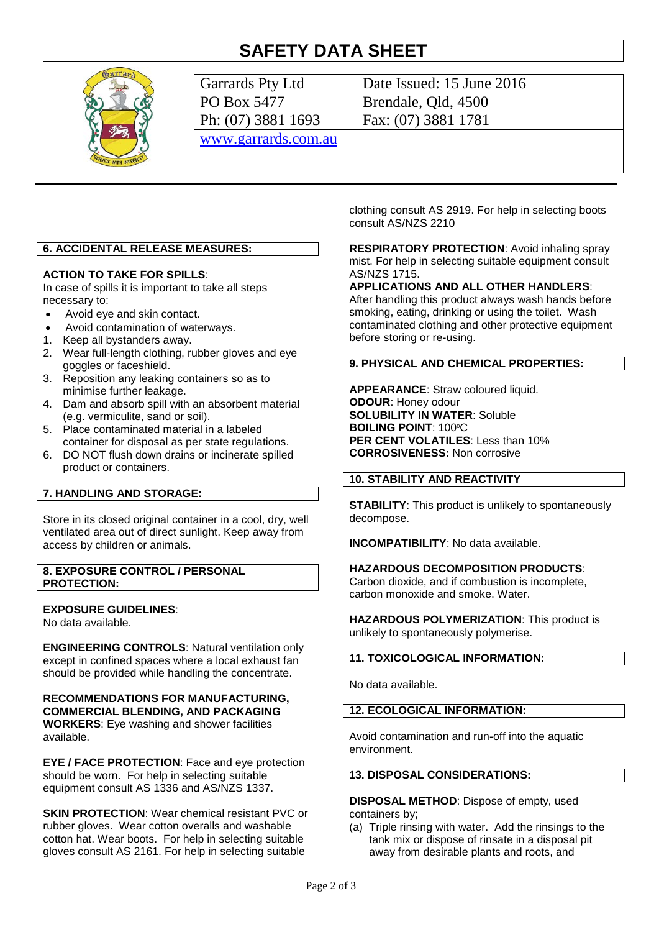# **SAFETY DATA SHEET**



| Garrards Pty Ltd    | Date Issued: 15 June 2016 |
|---------------------|---------------------------|
| PO Box 5477         | Brendale, Qld, 4500       |
| Ph: (07) 3881 1693  | Fax: (07) 3881 1781       |
| www.garrards.com.au |                           |
|                     |                           |
|                     |                           |

# **6. ACCIDENTAL RELEASE MEASURES:**

## **ACTION TO TAKE FOR SPILLS**:

In case of spills it is important to take all steps necessary to:

- Avoid eye and skin contact.
- Avoid contamination of waterways.
- 1. Keep all bystanders away.
- 2. Wear full-length clothing, rubber gloves and eye goggles or faceshield.
- 3. Reposition any leaking containers so as to minimise further leakage.
- 4. Dam and absorb spill with an absorbent material (e.g. vermiculite, sand or soil).
- 5. Place contaminated material in a labeled container for disposal as per state regulations.
- 6. DO NOT flush down drains or incinerate spilled product or containers.

## **7. HANDLING AND STORAGE:**

Store in its closed original container in a cool, dry, well ventilated area out of direct sunlight. Keep away from access by children or animals.

**8. EXPOSURE CONTROL / PERSONAL PROTECTION:**

## **EXPOSURE GUIDELINES**:

No data available.

**ENGINEERING CONTROLS**: Natural ventilation only except in confined spaces where a local exhaust fan should be provided while handling the concentrate.

**RECOMMENDATIONS FOR MANUFACTURING, COMMERCIAL BLENDING, AND PACKAGING WORKERS**: Eye washing and shower facilities available.

**EYE / FACE PROTECTION**: Face and eye protection should be worn. For help in selecting suitable equipment consult AS 1336 and AS/NZS 1337.

**SKIN PROTECTION:** Wear chemical resistant PVC or rubber gloves. Wear cotton overalls and washable cotton hat. Wear boots. For help in selecting suitable gloves consult AS 2161. For help in selecting suitable

clothing consult AS 2919. For help in selecting boots consult AS/NZS 2210

**RESPIRATORY PROTECTION**: Avoid inhaling spray mist. For help in selecting suitable equipment consult AS/NZS 1715.

## **APPLICATIONS AND ALL OTHER HANDLERS**:

After handling this product always wash hands before smoking, eating, drinking or using the toilet. Wash contaminated clothing and other protective equipment before storing or re-using.

## **9. PHYSICAL AND CHEMICAL PROPERTIES:**

**APPEARANCE**: Straw coloured liquid. **ODOUR**: Honey odour **SOLUBILITY IN WATER**: Soluble **BOILING POINT: 100°C PER CENT VOLATILES**: Less than 10% **CORROSIVENESS:** Non corrosive

## **10. STABILITY AND REACTIVITY**

**STABILITY:** This product is unlikely to spontaneously decompose.

**INCOMPATIBILITY**: No data available.

## **HAZARDOUS DECOMPOSITION PRODUCTS**:

Carbon dioxide, and if combustion is incomplete, carbon monoxide and smoke. Water.

**HAZARDOUS POLYMERIZATION**: This product is unlikely to spontaneously polymerise.

## **11. TOXICOLOGICAL INFORMATION:**

No data available.

## **12. ECOLOGICAL INFORMATION:**

Avoid contamination and run-off into the aquatic environment.

#### **13. DISPOSAL CONSIDERATIONS:**

**DISPOSAL METHOD**: Dispose of empty, used containers by;

(a) Triple rinsing with water. Add the rinsings to the tank mix or dispose of rinsate in a disposal pit away from desirable plants and roots, and